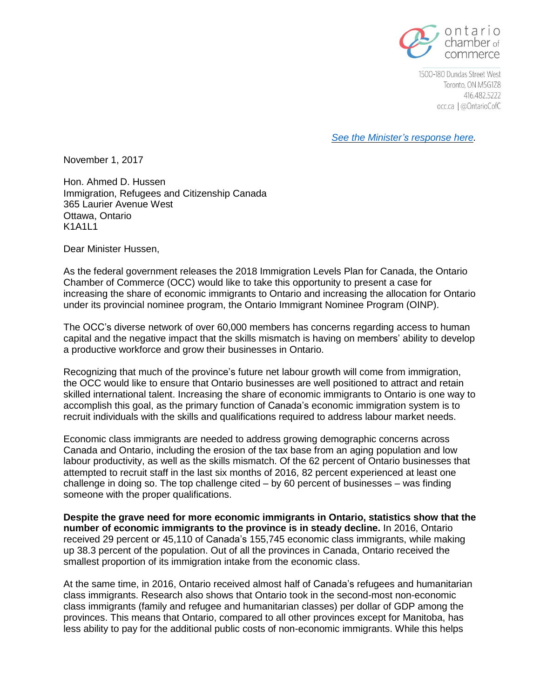

1500-180 Dundas Street West Toronto, ON M5G1Z8 416.482.5222 occ.ca | @OntarioCofC

*See the [Minister's](http://www.occ.ca/wp-content/uploads/Response-from-Minister-of-Immigration.pdf) response here.*

November 1, 2017

Hon. Ahmed D. Hussen Immigration, Refugees and Citizenship Canada 365 Laurier Avenue West Ottawa, Ontario K1A1I1

Dear Minister Hussen,

As the federal government releases the 2018 Immigration Levels Plan for Canada, the Ontario Chamber of Commerce (OCC) would like to take this opportunity to present a case for increasing the share of economic immigrants to Ontario and increasing the allocation for Ontario under its provincial nominee program, the Ontario Immigrant Nominee Program (OINP).

The OCC's diverse network of over 60,000 members has concerns regarding access to human capital and the negative impact that the skills mismatch is having on members' ability to develop a productive workforce and grow their businesses in Ontario.

Recognizing that much of the province's future net labour growth will come from immigration, the OCC would like to ensure that Ontario businesses are well positioned to attract and retain skilled international talent. Increasing the share of economic immigrants to Ontario is one way to accomplish this goal, as the primary function of Canada's economic immigration system is to recruit individuals with the skills and qualifications required to address labour market needs.

Economic class immigrants are needed to address growing demographic concerns across Canada and Ontario, including the erosion of the tax base from an aging population and low labour productivity, as well as the skills mismatch. Of the 62 percent of Ontario businesses that attempted to recruit staff in the last six months of 2016, 82 percent experienced at least one challenge in doing so. The top challenge cited – by 60 percent of businesses – was finding someone with the proper qualifications.

**Despite the grave need for more economic immigrants in Ontario, statistics show that the number of economic immigrants to the province is in steady decline.** In 2016, Ontario received 29 percent or 45,110 of Canada's 155,745 economic class immigrants, while making up 38.3 percent of the population. Out of all the provinces in Canada, Ontario received the smallest proportion of its immigration intake from the economic class.

At the same time, in 2016, Ontario received almost half of Canada's refugees and humanitarian class immigrants. Research also shows that Ontario took in the second-most non-economic class immigrants (family and refugee and humanitarian classes) per dollar of GDP among the provinces. This means that Ontario, compared to all other provinces except for Manitoba, has less ability to pay for the additional public costs of non-economic immigrants. While this helps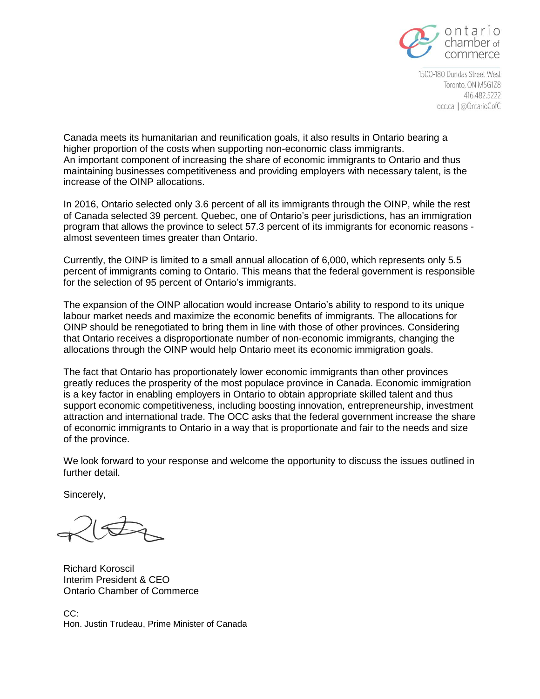

1500-180 Dundas Street West Toronto, ON M5G1Z8 416.482.5222 occ.ca | @OntarioCofC

Canada meets its humanitarian and reunification goals, it also results in Ontario bearing a higher proportion of the costs when supporting non-economic class immigrants. An important component of increasing the share of economic immigrants to Ontario and thus maintaining businesses competitiveness and providing employers with necessary talent, is the increase of the OINP allocations.

In 2016, Ontario selected only 3.6 percent of all its immigrants through the OINP, while the rest of Canada selected 39 percent. Quebec, one of Ontario's peer jurisdictions, has an immigration program that allows the province to select 57.3 percent of its immigrants for economic reasons almost seventeen times greater than Ontario.

Currently, the OINP is limited to a small annual allocation of 6,000, which represents only 5.5 percent of immigrants coming to Ontario. This means that the federal government is responsible for the selection of 95 percent of Ontario's immigrants.

The expansion of the OINP allocation would increase Ontario's ability to respond to its unique labour market needs and maximize the economic benefits of immigrants. The allocations for OINP should be renegotiated to bring them in line with those of other provinces. Considering that Ontario receives a disproportionate number of non-economic immigrants, changing the allocations through the OINP would help Ontario meet its economic immigration goals.

The fact that Ontario has proportionately lower economic immigrants than other provinces greatly reduces the prosperity of the most populace province in Canada. Economic immigration is a key factor in enabling employers in Ontario to obtain appropriate skilled talent and thus support economic competitiveness, including boosting innovation, entrepreneurship, investment attraction and international trade. The OCC asks that the federal government increase the share of economic immigrants to Ontario in a way that is proportionate and fair to the needs and size of the province.

We look forward to your response and welcome the opportunity to discuss the issues outlined in further detail.

Sincerely,

Richard Koroscil Interim President & CEO Ontario Chamber of Commerce

CC: Hon. Justin Trudeau, Prime Minister of Canada